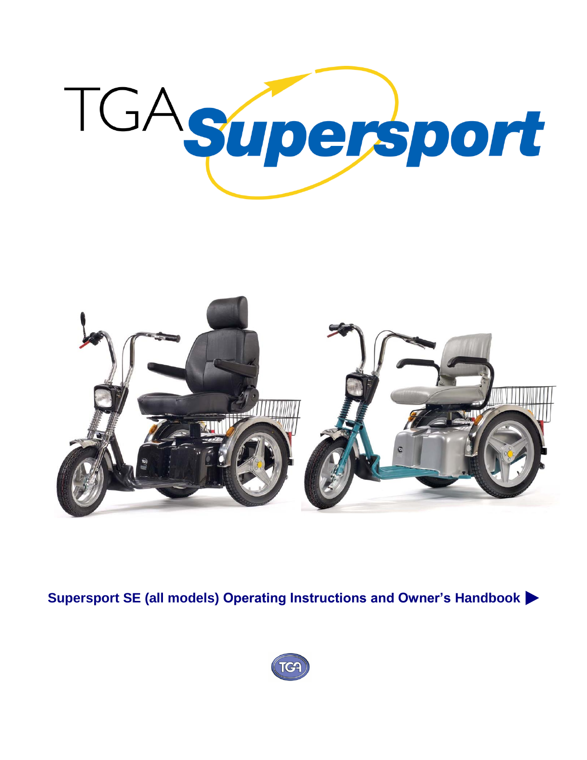

**Supersport SE (all models) Operating Instructions and Owner's Handbook**

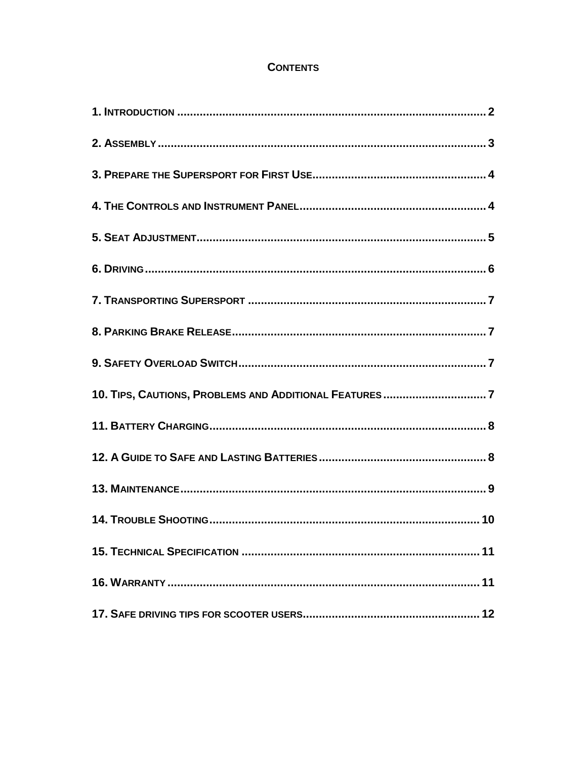# **CONTENTS**

| 10. TIPS, CAUTIONS, PROBLEMS AND ADDITIONAL FEATURES 7 |  |
|--------------------------------------------------------|--|
|                                                        |  |
|                                                        |  |
|                                                        |  |
|                                                        |  |
|                                                        |  |
|                                                        |  |
|                                                        |  |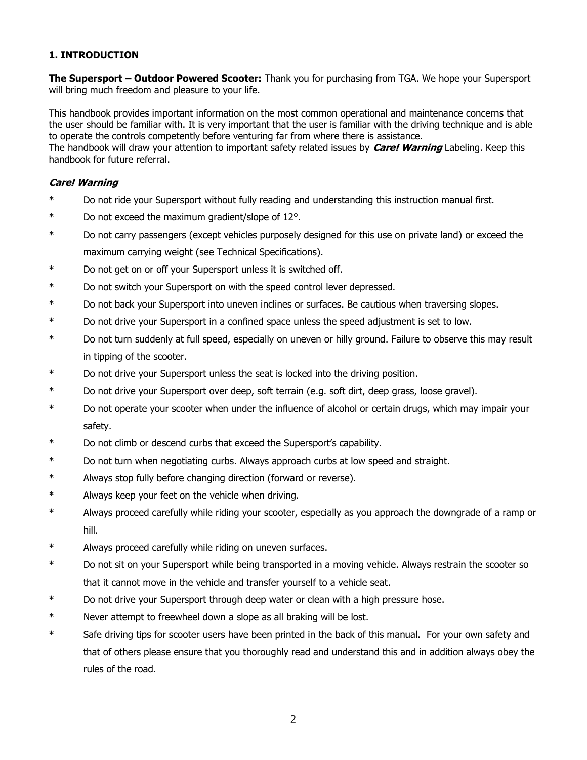## **1. INTRODUCTION**

**The Supersport – Outdoor Powered Scooter:** Thank you for purchasing from TGA. We hope your Supersport will bring much freedom and pleasure to your life.

This handbook provides important information on the most common operational and maintenance concerns that the user should be familiar with. It is very important that the user is familiar with the driving technique and is able to operate the controls competently before venturing far from where there is assistance.

The handbook will draw your attention to important safety related issues by **Care! Warning** Labeling. Keep this handbook for future referral.

## **Care! Warning**

- \* Do not ride your Supersport without fully reading and understanding this instruction manual first.
- \* Do not exceed the maximum gradient/slope of 12°.
- \* Do not carry passengers (except vehicles purposely designed for this use on private land) or exceed the maximum carrying weight (see Technical Specifications).
- \* Do not get on or off your Supersport unless it is switched off.
- \* Do not switch your Supersport on with the speed control lever depressed.
- \* Do not back your Supersport into uneven inclines or surfaces. Be cautious when traversing slopes.
- \* Do not drive your Supersport in a confined space unless the speed adjustment is set to low.
- \* Do not turn suddenly at full speed, especially on uneven or hilly ground. Failure to observe this may result in tipping of the scooter.
- \* Do not drive your Supersport unless the seat is locked into the driving position.
- \* Do not drive your Supersport over deep, soft terrain (e.g. soft dirt, deep grass, loose gravel).
- \* Do not operate your scooter when under the influence of alcohol or certain drugs, which may impair your safety.
- \* Do not climb or descend curbs that exceed the Supersport's capability.
- \* Do not turn when negotiating curbs. Always approach curbs at low speed and straight.
- \* Always stop fully before changing direction (forward or reverse).
- \* Always keep your feet on the vehicle when driving.
- \* Always proceed carefully while riding your scooter, especially as you approach the downgrade of a ramp or hill.
- \* Always proceed carefully while riding on uneven surfaces.
- \* Do not sit on your Supersport while being transported in a moving vehicle. Always restrain the scooter so that it cannot move in the vehicle and transfer yourself to a vehicle seat.
- \* Do not drive your Supersport through deep water or clean with a high pressure hose.
- \* Never attempt to freewheel down a slope as all braking will be lost.
- \* Safe driving tips for scooter users have been printed in the back of this manual. For your own safety and that of others please ensure that you thoroughly read and understand this and in addition always obey the rules of the road.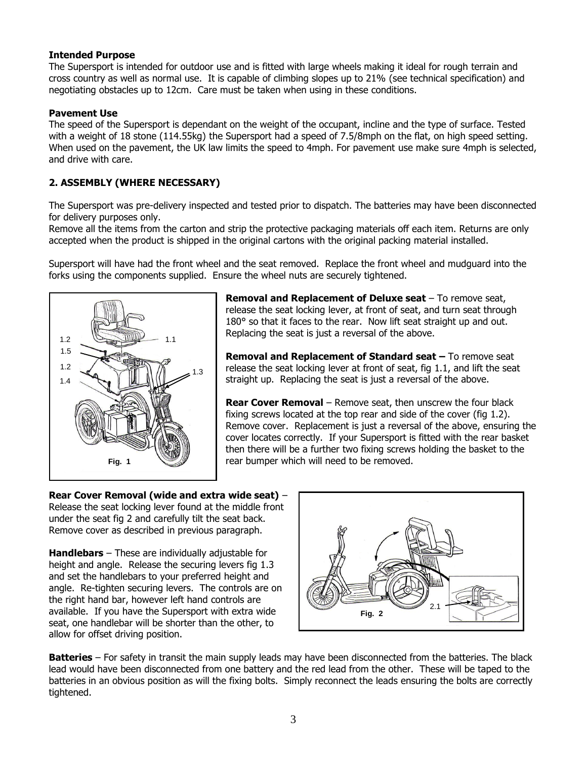## **Intended Purpose**

The Supersport is intended for outdoor use and is fitted with large wheels making it ideal for rough terrain and cross country as well as normal use. It is capable of climbing slopes up to 21% (see technical specification) and negotiating obstacles up to 12cm. Care must be taken when using in these conditions.

## **Pavement Use**

The speed of the Supersport is dependant on the weight of the occupant, incline and the type of surface. Tested with a weight of 18 stone (114.55kg) the Supersport had a speed of 7.5/8mph on the flat, on high speed setting. When used on the pavement, the UK law limits the speed to 4mph. For pavement use make sure 4mph is selected, and drive with care.

# **2. ASSEMBLY (WHERE NECESSARY)**

The Supersport was pre-delivery inspected and tested prior to dispatch. The batteries may have been disconnected for delivery purposes only.

Remove all the items from the carton and strip the protective packaging materials off each item. Returns are only accepted when the product is shipped in the original cartons with the original packing material installed.

Supersport will have had the front wheel and the seat removed. Replace the front wheel and mudguard into the forks using the components supplied. Ensure the wheel nuts are securely tightened.



**Removal and Replacement of Deluxe seat** – To remove seat, release the seat locking lever, at front of seat, and turn seat through 180° so that it faces to the rear. Now lift seat straight up and out. Replacing the seat is just a reversal of the above.

**Removal and Replacement of Standard seat –** To remove seat release the seat locking lever at front of seat, fig 1.1, and lift the seat straight up. Replacing the seat is just a reversal of the above.

**Rear Cover Removal** – Remove seat, then unscrew the four black fixing screws located at the top rear and side of the cover (fig 1.2). Remove cover. Replacement is just a reversal of the above, ensuring the cover locates correctly. If your Supersport is fitted with the rear basket then there will be a further two fixing screws holding the basket to the rear bumper which will need to be removed.

**Rear Cover Removal (wide and extra wide seat)** – Release the seat locking lever found at the middle front under the seat fig 2 and carefully tilt the seat back. Remove cover as described in previous paragraph.

**Handlebars** – These are individually adjustable for height and angle. Release the securing levers fig 1.3 and set the handlebars to your preferred height and angle. Re-tighten securing levers. The controls are on the right hand bar, however left hand controls are available. If you have the Supersport with extra wide seat, one handlebar will be shorter than the other, to allow for offset driving position.



**Batteries** – For safety in transit the main supply leads may have been disconnected from the batteries. The black lead would have been disconnected from one battery and the red lead from the other. These will be taped to the batteries in an obvious position as will the fixing bolts. Simply reconnect the leads ensuring the bolts are correctly tightened.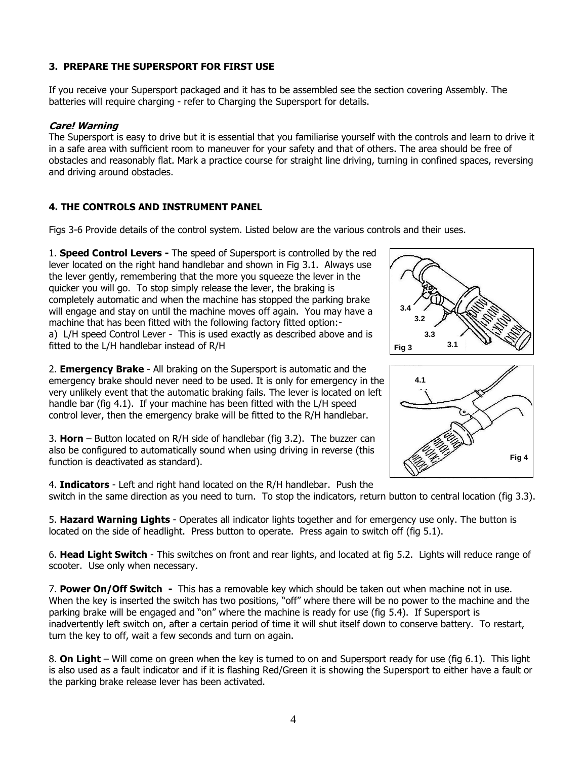# **3. PREPARE THE SUPERSPORT FOR FIRST USE**

If you receive your Supersport packaged and it has to be assembled see the section covering Assembly. The batteries will require charging - refer to Charging the Supersport for details.

# **Care! Warning**

The Supersport is easy to drive but it is essential that you familiarise yourself with the controls and learn to drive it in a safe area with sufficient room to maneuver for your safety and that of others. The area should be free of obstacles and reasonably flat. Mark a practice course for straight line driving, turning in confined spaces, reversing and driving around obstacles.

# **4. THE CONTROLS AND INSTRUMENT PANEL**

Figs 3-6 Provide details of the control system. Listed below are the various controls and their uses.

1. **Speed Control Levers -** The speed of Supersport is controlled by the red lever located on the right hand handlebar and shown in Fig 3.1. Always use the lever gently, remembering that the more you squeeze the lever in the quicker you will go. To stop simply release the lever, the braking is completely automatic and when the machine has stopped the parking brake will engage and stay on until the machine moves off again. You may have a machine that has been fitted with the following factory fitted option: a) L/H speed Control Lever - This is used exactly as described above and is fitted to the L/H handlebar instead of R/H

2. **Emergency Brake** - All braking on the Supersport is automatic and the emergency brake should never need to be used. It is only for emergency in the very unlikely event that the automatic braking fails. The lever is located on left handle bar (fig 4.1). If your machine has been fitted with the L/H speed control lever, then the emergency brake will be fitted to the R/H handlebar.

3. **Horn** – Button located on R/H side of handlebar (fig 3.2). The buzzer can also be configured to automatically sound when using driving in reverse (this function is deactivated as standard).

4. **Indicators** - Left and right hand located on the R/H handlebar. Push the switch in the same direction as you need to turn. To stop the indicators, return button to central location (fig 3.3).

5. **Hazard Warning Lights** - Operates all indicator lights together and for emergency use only. The button is located on the side of headlight. Press button to operate. Press again to switch off (fig 5.1).

6. **Head Light Switch** - This switches on front and rear lights, and located at fig 5.2. Lights will reduce range of scooter. Use only when necessary.

7. **Power On/Off Switch -** This has a removable key which should be taken out when machine not in use. When the key is inserted the switch has two positions, "off" where there will be no power to the machine and the parking brake will be engaged and "on" where the machine is ready for use (fig 5.4). If Supersport is inadvertently left switch on, after a certain period of time it will shut itself down to conserve battery. To restart, turn the key to off, wait a few seconds and turn on again.

8. **On Light** – Will come on green when the key is turned to on and Supersport ready for use (fig 6.1). This light is also used as a fault indicator and if it is flashing Red/Green it is showing the Supersport to either have a fault or the parking brake release lever has been activated.



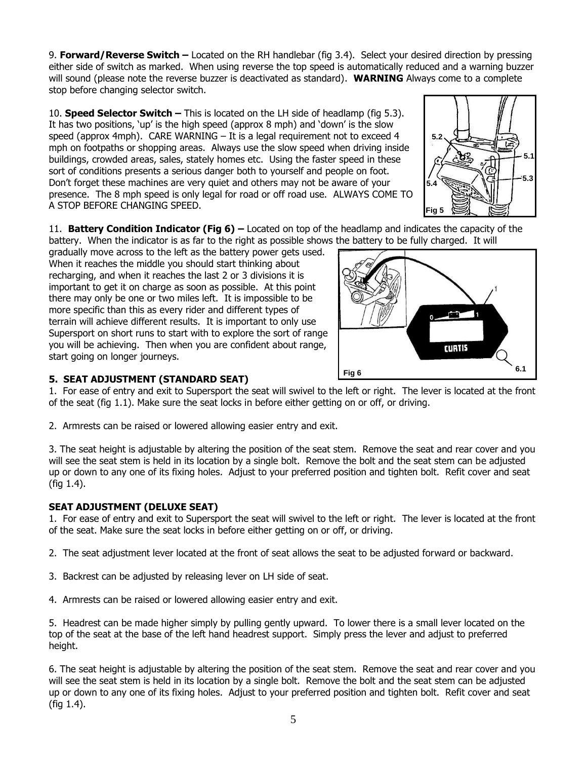9. **Forward/Reverse Switch –** Located on the RH handlebar (fig 3.4). Select your desired direction by pressing either side of switch as marked. When using reverse the top speed is automatically reduced and a warning buzzer will sound (please note the reverse buzzer is deactivated as standard). **WARNING** Always come to a complete stop before changing selector switch.

10. **Speed Selector Switch –** This is located on the LH side of headlamp (fig 5.3). It has two positions, 'up' is the high speed (approx 8 mph) and 'down' is the slow speed (approx 4mph). CARE WARNING – It is a legal requirement not to exceed 4 mph on footpaths or shopping areas. Always use the slow speed when driving inside buildings, crowded areas, sales, stately homes etc. Using the faster speed in these sort of conditions presents a serious danger both to yourself and people on foot. Don't forget these machines are very quiet and others may not be aware of your presence. The 8 mph speed is only legal for road or off road use. ALWAYS COME TO A STOP BEFORE CHANGING SPEED.



11. **Battery Condition Indicator (Fig 6) –** Located on top of the headlamp and indicates the capacity of the battery. When the indicator is as far to the right as possible shows the battery to be fully charged. It will

gradually move across to the left as the battery power gets used. When it reaches the middle you should start thinking about recharging, and when it reaches the last 2 or 3 divisions it is important to get it on charge as soon as possible. At this point there may only be one or two miles left. It is impossible to be more specific than this as every rider and different types of terrain will achieve different results. It is important to only use Supersport on short runs to start with to explore the sort of range you will be achieving. Then when you are confident about range, start going on longer journeys.



# **5. SEAT ADJUSTMENT (STANDARD SEAT)**

1. For ease of entry and exit to Supersport the seat will swivel to the left or right. The lever is located at the front of the seat (fig 1.1). Make sure the seat locks in before either getting on or off, or driving.

2. Armrests can be raised or lowered allowing easier entry and exit.

3. The seat height is adjustable by altering the position of the seat stem. Remove the seat and rear cover and you will see the seat stem is held in its location by a single bolt. Remove the bolt and the seat stem can be adjusted up or down to any one of its fixing holes. Adjust to your preferred position and tighten bolt. Refit cover and seat (fig 1.4).

# **SEAT ADJUSTMENT (DELUXE SEAT)**

1. For ease of entry and exit to Supersport the seat will swivel to the left or right. The lever is located at the front of the seat. Make sure the seat locks in before either getting on or off, or driving.

2. The seat adjustment lever located at the front of seat allows the seat to be adjusted forward or backward.

- 3. Backrest can be adjusted by releasing lever on LH side of seat.
- 4. Armrests can be raised or lowered allowing easier entry and exit.

5. Headrest can be made higher simply by pulling gently upward. To lower there is a small lever located on the top of the seat at the base of the left hand headrest support. Simply press the lever and adjust to preferred height.

6. The seat height is adjustable by altering the position of the seat stem. Remove the seat and rear cover and you will see the seat stem is held in its location by a single bolt. Remove the bolt and the seat stem can be adjusted up or down to any one of its fixing holes. Adjust to your preferred position and tighten bolt. Refit cover and seat (fig 1.4).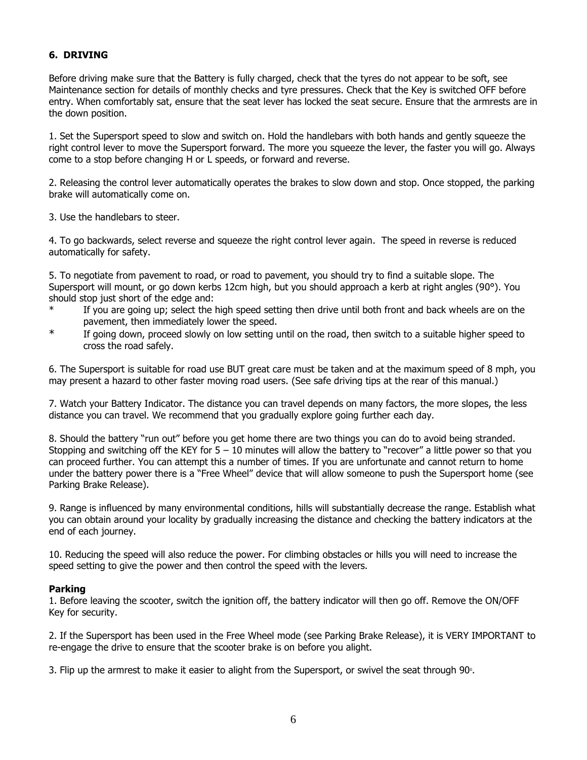# **6. DRIVING**

Before driving make sure that the Battery is fully charged, check that the tyres do not appear to be soft, see Maintenance section for details of monthly checks and tyre pressures. Check that the Key is switched OFF before entry. When comfortably sat, ensure that the seat lever has locked the seat secure. Ensure that the armrests are in the down position.

1. Set the Supersport speed to slow and switch on. Hold the handlebars with both hands and gently squeeze the right control lever to move the Supersport forward. The more you squeeze the lever, the faster you will go. Always come to a stop before changing H or L speeds, or forward and reverse.

2. Releasing the control lever automatically operates the brakes to slow down and stop. Once stopped, the parking brake will automatically come on.

3. Use the handlebars to steer.

4. To go backwards, select reverse and squeeze the right control lever again. The speed in reverse is reduced automatically for safety.

5. To negotiate from pavement to road, or road to pavement, you should try to find a suitable slope. The Supersport will mount, or go down kerbs 12cm high, but you should approach a kerb at right angles (90°). You should stop just short of the edge and:

- If you are going up; select the high speed setting then drive until both front and back wheels are on the pavement, then immediately lower the speed.
- \* If going down, proceed slowly on low setting until on the road, then switch to a suitable higher speed to cross the road safely.

6. The Supersport is suitable for road use BUT great care must be taken and at the maximum speed of 8 mph, you may present a hazard to other faster moving road users. (See safe driving tips at the rear of this manual.)

7. Watch your Battery Indicator. The distance you can travel depends on many factors, the more slopes, the less distance you can travel. We recommend that you gradually explore going further each day.

8. Should the battery "run out" before you get home there are two things you can do to avoid being stranded. Stopping and switching off the KEY for  $5 - 10$  minutes will allow the battery to "recover" a little power so that you can proceed further. You can attempt this a number of times. If you are unfortunate and cannot return to home under the battery power there is a "Free Wheel" device that will allow someone to push the Supersport home (see Parking Brake Release).

9. Range is influenced by many environmental conditions, hills will substantially decrease the range. Establish what you can obtain around your locality by gradually increasing the distance and checking the battery indicators at the end of each journey.

10. Reducing the speed will also reduce the power. For climbing obstacles or hills you will need to increase the speed setting to give the power and then control the speed with the levers.

### **Parking**

1. Before leaving the scooter, switch the ignition off, the battery indicator will then go off. Remove the ON/OFF Key for security.

2. If the Supersport has been used in the Free Wheel mode (see Parking Brake Release), it is VERY IMPORTANT to re-engage the drive to ensure that the scooter brake is on before you alight.

3. Flip up the armrest to make it easier to alight from the Supersport, or swivel the seat through 90 $\circ$ .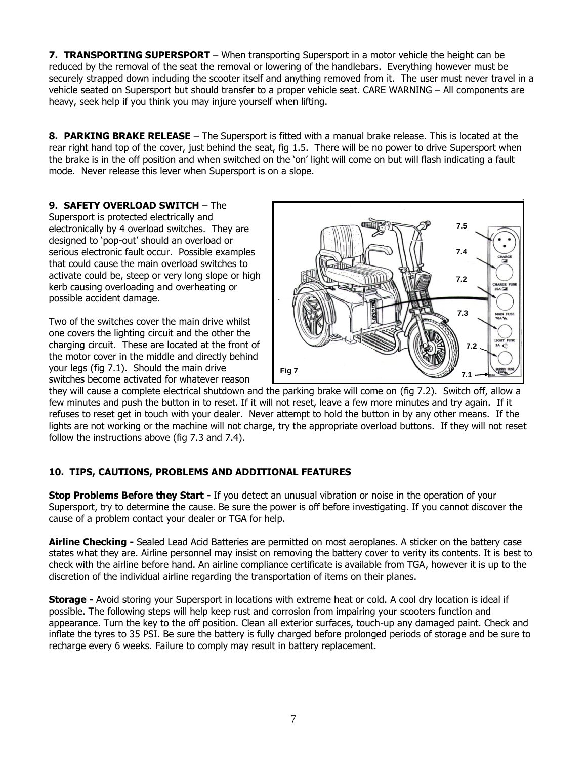**7. TRANSPORTING SUPERSPORT** – When transporting Supersport in a motor vehicle the height can be reduced by the removal of the seat the removal or lowering of the handlebars. Everything however must be securely strapped down including the scooter itself and anything removed from it. The user must never travel in a vehicle seated on Supersport but should transfer to a proper vehicle seat. CARE WARNING – All components are heavy, seek help if you think you may injure yourself when lifting.

**8. PARKING BRAKE RELEASE** – The Supersport is fitted with a manual brake release. This is located at the rear right hand top of the cover, just behind the seat, fig 1.5. There will be no power to drive Supersport when the brake is in the off position and when switched on the 'on' light will come on but will flash indicating a fault mode. Never release this lever when Supersport is on a slope.

# **9. SAFETY OVERLOAD SWITCH** – The

Supersport is protected electrically and electronically by 4 overload switches. They are designed to 'pop-out' should an overload or serious electronic fault occur. Possible examples that could cause the main overload switches to activate could be, steep or very long slope or high kerb causing overloading and overheating or possible accident damage.

Two of the switches cover the main drive whilst one covers the lighting circuit and the other the charging circuit. These are located at the front of the motor cover in the middle and directly behind your legs (fig 7.1). Should the main drive switches become activated for whatever reason



they will cause a complete electrical shutdown and the parking brake will come on (fig 7.2). Switch off, allow a few minutes and push the button in to reset. If it will not reset, leave a few more minutes and try again. If it refuses to reset get in touch with your dealer. Never attempt to hold the button in by any other means. If the lights are not working or the machine will not charge, try the appropriate overload buttons. If they will not reset follow the instructions above (fig 7.3 and 7.4).

# **10. TIPS, CAUTIONS, PROBLEMS AND ADDITIONAL FEATURES**

**Stop Problems Before they Start -** If you detect an unusual vibration or noise in the operation of your Supersport, try to determine the cause. Be sure the power is off before investigating. If you cannot discover the cause of a problem contact your dealer or TGA for help.

**Airline Checking -** Sealed Lead Acid Batteries are permitted on most aeroplanes. A sticker on the battery case states what they are. Airline personnel may insist on removing the battery cover to verity its contents. It is best to check with the airline before hand. An airline compliance certificate is available from TGA, however it is up to the discretion of the individual airline regarding the transportation of items on their planes.

**Storage -** Avoid storing your Supersport in locations with extreme heat or cold. A cool dry location is ideal if possible. The following steps will help keep rust and corrosion from impairing your scooters function and appearance. Turn the key to the off position. Clean all exterior surfaces, touch-up any damaged paint. Check and inflate the tyres to 35 PSI. Be sure the battery is fully charged before prolonged periods of storage and be sure to recharge every 6 weeks. Failure to comply may result in battery replacement.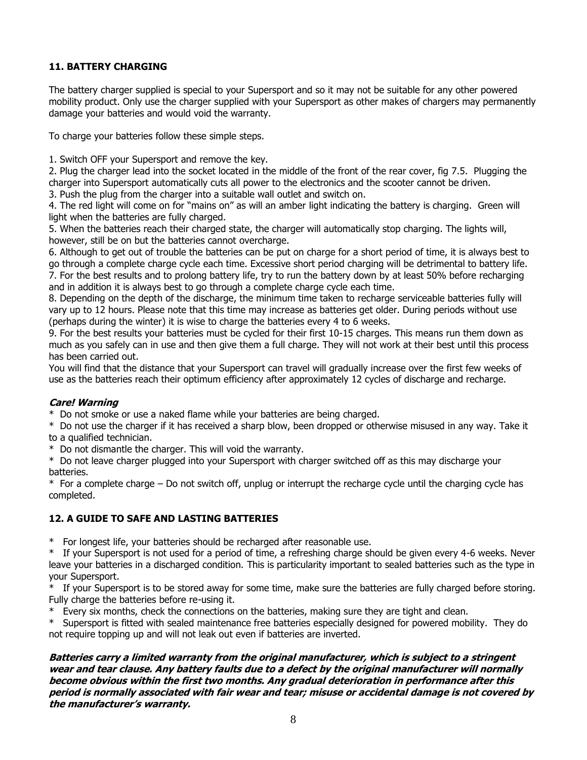# **11. BATTERY CHARGING**

The battery charger supplied is special to your Supersport and so it may not be suitable for any other powered mobility product. Only use the charger supplied with your Supersport as other makes of chargers may permanently damage your batteries and would void the warranty.

To charge your batteries follow these simple steps.

1. Switch OFF your Supersport and remove the key.

2. Plug the charger lead into the socket located in the middle of the front of the rear cover, fig 7.5. Plugging the charger into Supersport automatically cuts all power to the electronics and the scooter cannot be driven.

3. Push the plug from the charger into a suitable wall outlet and switch on.

4. The red light will come on for "mains on" as will an amber light indicating the battery is charging. Green will light when the batteries are fully charged.

5. When the batteries reach their charged state, the charger will automatically stop charging. The lights will, however, still be on but the batteries cannot overcharge.

6. Although to get out of trouble the batteries can be put on charge for a short period of time, it is always best to go through a complete charge cycle each time. Excessive short period charging will be detrimental to battery life. 7. For the best results and to prolong battery life, try to run the battery down by at least 50% before recharging and in addition it is always best to go through a complete charge cycle each time.

8. Depending on the depth of the discharge, the minimum time taken to recharge serviceable batteries fully will vary up to 12 hours. Please note that this time may increase as batteries get older. During periods without use (perhaps during the winter) it is wise to charge the batteries every 4 to 6 weeks.

9. For the best results your batteries must be cycled for their first 10-15 charges. This means run them down as much as you safely can in use and then give them a full charge. They will not work at their best until this process has been carried out.

You will find that the distance that your Supersport can travel will gradually increase over the first few weeks of use as the batteries reach their optimum efficiency after approximately 12 cycles of discharge and recharge.

# **Care! Warning**

\* Do not smoke or use a naked flame while your batteries are being charged.

\* Do not use the charger if it has received a sharp blow, been dropped or otherwise misused in any way. Take it to a qualified technician.

\* Do not dismantle the charger. This will void the warranty.

\* Do not leave charger plugged into your Supersport with charger switched off as this may discharge your batteries.

\* For a complete charge – Do not switch off, unplug or interrupt the recharge cycle until the charging cycle has completed.

# **12. A GUIDE TO SAFE AND LASTING BATTERIES**

\* For longest life, your batteries should be recharged after reasonable use.

\* If your Supersport is not used for a period of time, a refreshing charge should be given every 4-6 weeks. Never leave your batteries in a discharged condition. This is particularity important to sealed batteries such as the type in your Supersport.

\* If your Supersport is to be stored away for some time, make sure the batteries are fully charged before storing. Fully charge the batteries before re-using it.

\* Every six months, check the connections on the batteries, making sure they are tight and clean.

\* Supersport is fitted with sealed maintenance free batteries especially designed for powered mobility. They do not require topping up and will not leak out even if batteries are inverted.

**Batteries carry a limited warranty from the original manufacturer, which is subject to a stringent wear and tear clause. Any battery faults due to a defect by the original manufacturer will normally become obvious within the first two months. Any gradual deterioration in performance after this period is normally associated with fair wear and tear; misuse or accidental damage is not covered by the manufacturer's warranty.**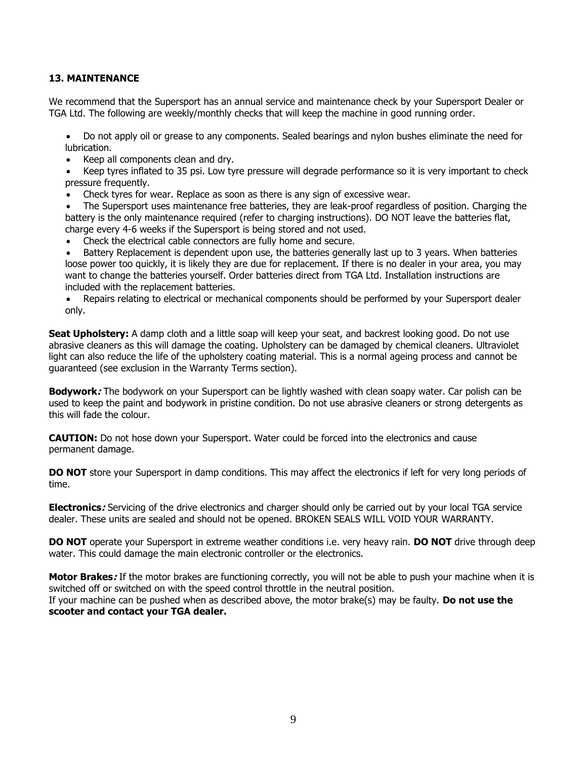## **13. MAINTENANCE**

We recommend that the Supersport has an annual service and maintenance check by your Supersport Dealer or TGA Ltd. The following are weekly/monthly checks that will keep the machine in good running order.

• Do not apply oil or grease to any components. Sealed bearings and nylon bushes eliminate the need for lubrication.

• Keep all components clean and dry.

• Keep tyres inflated to 35 psi. Low tyre pressure will degrade performance so it is very important to check pressure frequently.

• Check tyres for wear. Replace as soon as there is any sign of excessive wear.

• The Supersport uses maintenance free batteries, they are leak-proof regardless of position. Charging the battery is the only maintenance required (refer to charging instructions). DO NOT leave the batteries flat, charge every 4-6 weeks if the Supersport is being stored and not used.

• Check the electrical cable connectors are fully home and secure.

Battery Replacement is dependent upon use, the batteries generally last up to 3 years. When batteries loose power too quickly, it is likely they are due for replacement. If there is no dealer in your area, you may want to change the batteries yourself. Order batteries direct from TGA Ltd. Installation instructions are included with the replacement batteries.

• Repairs relating to electrical or mechanical components should be performed by your Supersport dealer only.

**Seat Upholstery:** A damp cloth and a little soap will keep your seat, and backrest looking good. Do not use abrasive cleaners as this will damage the coating. Upholstery can be damaged by chemical cleaners. Ultraviolet light can also reduce the life of the upholstery coating material. This is a normal ageing process and cannot be guaranteed (see exclusion in the Warranty Terms section).

**Bodywork:** The bodywork on your Supersport can be lightly washed with clean soapy water. Car polish can be used to keep the paint and bodywork in pristine condition. Do not use abrasive cleaners or strong detergents as this will fade the colour.

**CAUTION:** Do not hose down your Supersport. Water could be forced into the electronics and cause permanent damage.

**DO NOT** store your Supersport in damp conditions. This may affect the electronics if left for very long periods of time.

**Electronics:** Servicing of the drive electronics and charger should only be carried out by your local TGA service dealer. These units are sealed and should not be opened. BROKEN SEALS WILL VOID YOUR WARRANTY.

**DO NOT** operate your Supersport in extreme weather conditions i.e. very heavy rain. **DO NOT** drive through deep water. This could damage the main electronic controller or the electronics.

**Motor Brakes:** If the motor brakes are functioning correctly, you will not be able to push your machine when it is switched off or switched on with the speed control throttle in the neutral position. If your machine can be pushed when as described above, the motor brake(s) may be faulty. **Do not use the scooter and contact your TGA dealer.**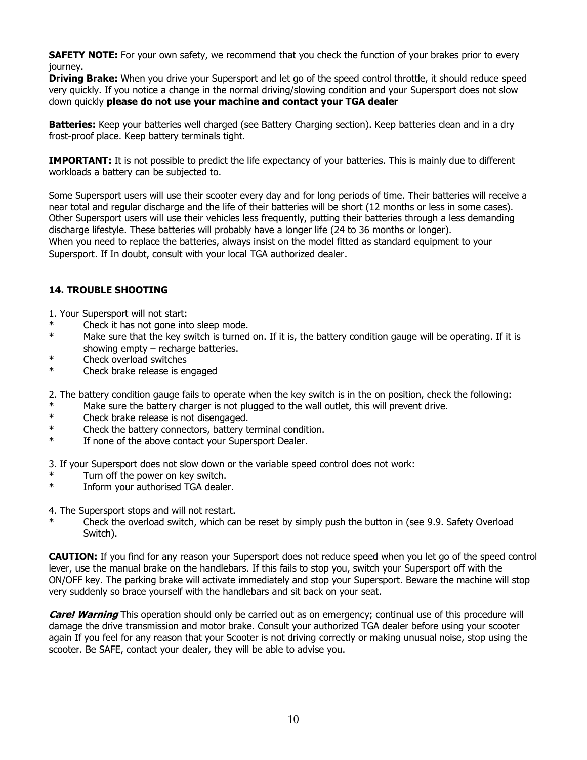**SAFETY NOTE:** For your own safety, we recommend that you check the function of your brakes prior to every journey.

**Driving Brake:** When you drive your Supersport and let go of the speed control throttle, it should reduce speed very quickly. If you notice a change in the normal driving/slowing condition and your Supersport does not slow down quickly **please do not use your machine and contact your TGA dealer**

**Batteries:** Keep your batteries well charged (see Battery Charging section). Keep batteries clean and in a dry frost-proof place. Keep battery terminals tight.

**IMPORTANT:** It is not possible to predict the life expectancy of your batteries. This is mainly due to different workloads a battery can be subjected to.

Some Supersport users will use their scooter every day and for long periods of time. Their batteries will receive a near total and regular discharge and the life of their batteries will be short (12 months or less in some cases). Other Supersport users will use their vehicles less frequently, putting their batteries through a less demanding discharge lifestyle. These batteries will probably have a longer life (24 to 36 months or longer). When you need to replace the batteries, always insist on the model fitted as standard equipment to your Supersport. If In doubt, consult with your local TGA authorized dealer.

## **14. TROUBLE SHOOTING**

1. Your Supersport will not start:

- Check it has not gone into sleep mode.
- \* Make sure that the key switch is turned on. If it is, the battery condition gauge will be operating. If it is showing empty – recharge batteries.
- \* Check overload switches
- \* Check brake release is engaged

2. The battery condition gauge fails to operate when the key switch is in the on position, check the following:

- \* Make sure the battery charger is not plugged to the wall outlet, this will prevent drive.<br>\* Check brake release is not disengaged
- Check brake release is not disengaged.
- \* Check the battery connectors, battery terminal condition.
- \* If none of the above contact your Supersport Dealer.
- 3. If your Supersport does not slow down or the variable speed control does not work:
- Turn off the power on key switch.
- \* Inform your authorised TGA dealer.
- 4. The Supersport stops and will not restart.
- Check the overload switch, which can be reset by simply push the button in (see 9.9. Safety Overload Switch).

**CAUTION:** If you find for any reason your Supersport does not reduce speed when you let go of the speed control lever, use the manual brake on the handlebars. If this fails to stop you, switch your Supersport off with the ON/OFF key. The parking brake will activate immediately and stop your Supersport. Beware the machine will stop very suddenly so brace yourself with the handlebars and sit back on your seat.

**Care! Warning** This operation should only be carried out as on emergency; continual use of this procedure will damage the drive transmission and motor brake. Consult your authorized TGA dealer before using your scooter again If you feel for any reason that your Scooter is not driving correctly or making unusual noise, stop using the scooter. Be SAFE, contact your dealer, they will be able to advise you.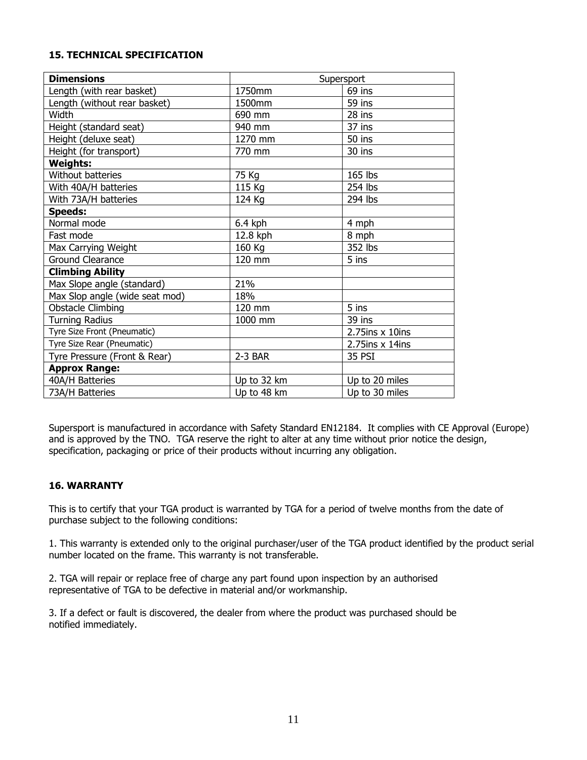# **15. TECHNICAL SPECIFICATION**

| <b>Dimensions</b>              | Supersport  |                      |
|--------------------------------|-------------|----------------------|
| Length (with rear basket)      | 1750mm      | 69 ins               |
| Length (without rear basket)   | 1500mm      | 59 ins               |
| Width                          | 690 mm      | 28 ins               |
| Height (standard seat)         | 940 mm      | 37 ins               |
| Height (deluxe seat)           | 1270 mm     | 50 ins               |
| Height (for transport)         | 770 mm      | 30 ins               |
| <b>Weights:</b>                |             |                      |
| Without batteries              | 75 Kg       | 165 lbs              |
| With 40A/H batteries           | 115 Kg      | 254 lbs              |
| With 73A/H batteries           | 124 Kg      | 294 lbs              |
| <b>Speeds:</b>                 |             |                      |
| Normal mode                    | $6.4$ kph   | 4 mph                |
| Fast mode                      | 12.8 kph    | 8 mph                |
| Max Carrying Weight            | 160 Kg      | 352 lbs              |
| Ground Clearance               | 120 mm      | 5 ins                |
| <b>Climbing Ability</b>        |             |                      |
| Max Slope angle (standard)     | 21%         |                      |
| Max Slop angle (wide seat mod) | 18%         |                      |
| <b>Obstacle Climbing</b>       | 120 mm      | 5 ins                |
| <b>Turning Radius</b>          | 1000 mm     | 39 ins               |
| Tyre Size Front (Pneumatic)    |             | $2.75$ ins $x$ 10ins |
| Tyre Size Rear (Pneumatic)     |             | $2.75$ ins x 14ins   |
| Tyre Pressure (Front & Rear)   | 2-3 BAR     | 35 PSI               |
| <b>Approx Range:</b>           |             |                      |
| 40A/H Batteries                | Up to 32 km | Up to 20 miles       |
| 73A/H Batteries                | Up to 48 km | Up to 30 miles       |

Supersport is manufactured in accordance with Safety Standard EN12184. It complies with CE Approval (Europe) and is approved by the TNO. TGA reserve the right to alter at any time without prior notice the design, specification, packaging or price of their products without incurring any obligation.

## **16. WARRANTY**

This is to certify that your TGA product is warranted by TGA for a period of twelve months from the date of purchase subject to the following conditions:

1. This warranty is extended only to the original purchaser/user of the TGA product identified by the product serial number located on the frame. This warranty is not transferable.

2. TGA will repair or replace free of charge any part found upon inspection by an authorised representative of TGA to be defective in material and/or workmanship.

3. If a defect or fault is discovered, the dealer from where the product was purchased should be notified immediately.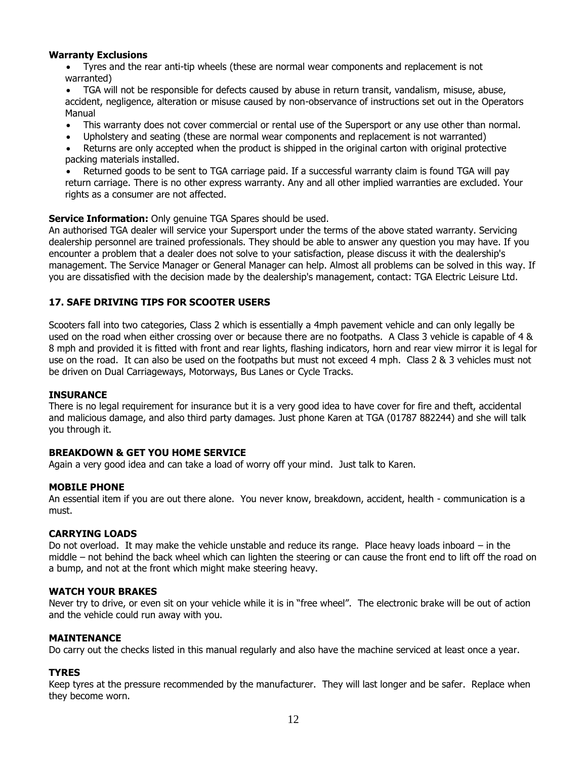## **Warranty Exclusions**

• Tyres and the rear anti-tip wheels (these are normal wear components and replacement is not warranted)

• TGA will not be responsible for defects caused by abuse in return transit, vandalism, misuse, abuse, accident, negligence, alteration or misuse caused by non-observance of instructions set out in the Operators Manual

- This warranty does not cover commercial or rental use of the Supersport or any use other than normal.
- Upholstery and seating (these are normal wear components and replacement is not warranted)

Returns are only accepted when the product is shipped in the original carton with original protective packing materials installed.

• Returned goods to be sent to TGA carriage paid. If a successful warranty claim is found TGA will pay return carriage. There is no other express warranty. Any and all other implied warranties are excluded. Your rights as a consumer are not affected.

## **Service Information:** Only genuine TGA Spares should be used.

An authorised TGA dealer will service your Supersport under the terms of the above stated warranty. Servicing dealership personnel are trained professionals. They should be able to answer any question you may have. If you encounter a problem that a dealer does not solve to your satisfaction, please discuss it with the dealership's management. The Service Manager or General Manager can help. Almost all problems can be solved in this way. If you are dissatisfied with the decision made by the dealership's management, contact: TGA Electric Leisure Ltd.

## **17. SAFE DRIVING TIPS FOR SCOOTER USERS**

Scooters fall into two categories, Class 2 which is essentially a 4mph pavement vehicle and can only legally be used on the road when either crossing over or because there are no footpaths. A Class 3 vehicle is capable of 4 & 8 mph and provided it is fitted with front and rear lights, flashing indicators, horn and rear view mirror it is legal for use on the road. It can also be used on the footpaths but must not exceed 4 mph. Class 2 & 3 vehicles must not be driven on Dual Carriageways, Motorways, Bus Lanes or Cycle Tracks.

### **INSURANCE**

There is no legal requirement for insurance but it is a very good idea to have cover for fire and theft, accidental and malicious damage, and also third party damages. Just phone Karen at TGA (01787 882244) and she will talk you through it.

### **BREAKDOWN & GET YOU HOME SERVICE**

Again a very good idea and can take a load of worry off your mind. Just talk to Karen.

### **MOBILE PHONE**

An essential item if you are out there alone. You never know, breakdown, accident, health - communication is a must.

## **CARRYING LOADS**

Do not overload. It may make the vehicle unstable and reduce its range. Place heavy loads inboard – in the middle – not behind the back wheel which can lighten the steering or can cause the front end to lift off the road on a bump, and not at the front which might make steering heavy.

### **WATCH YOUR BRAKES**

Never try to drive, or even sit on your vehicle while it is in "free wheel". The electronic brake will be out of action and the vehicle could run away with you.

### **MAINTENANCE**

Do carry out the checks listed in this manual regularly and also have the machine serviced at least once a year.

### **TYRES**

Keep tyres at the pressure recommended by the manufacturer. They will last longer and be safer. Replace when they become worn.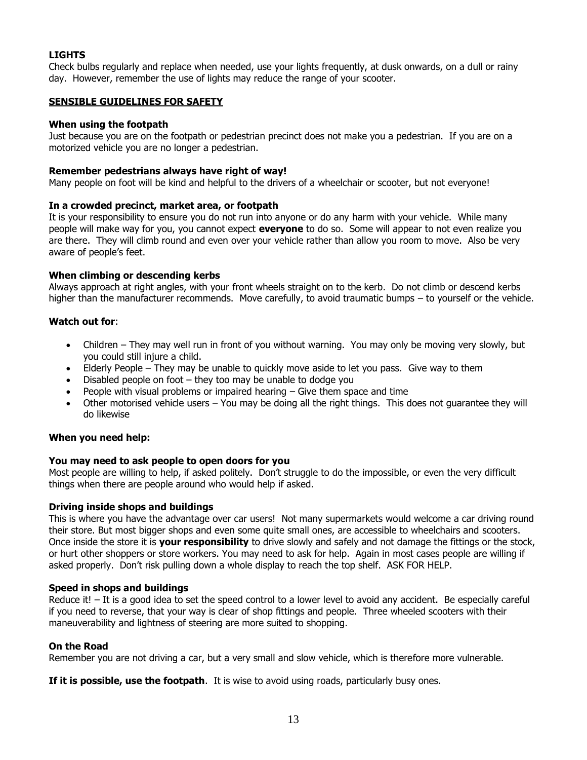## **LIGHTS**

Check bulbs regularly and replace when needed, use your lights frequently, at dusk onwards, on a dull or rainy day. However, remember the use of lights may reduce the range of your scooter.

## **SENSIBLE GUIDELINES FOR SAFETY**

### **When using the footpath**

Just because you are on the footpath or pedestrian precinct does not make you a pedestrian. If you are on a motorized vehicle you are no longer a pedestrian.

## **Remember pedestrians always have right of way!**

Many people on foot will be kind and helpful to the drivers of a wheelchair or scooter, but not everyone!

## **In a crowded precinct, market area, or footpath**

It is your responsibility to ensure you do not run into anyone or do any harm with your vehicle. While many people will make way for you, you cannot expect **everyone** to do so. Some will appear to not even realize you are there. They will climb round and even over your vehicle rather than allow you room to move. Also be very aware of people's feet.

## **When climbing or descending kerbs**

Always approach at right angles, with your front wheels straight on to the kerb. Do not climb or descend kerbs higher than the manufacturer recommends. Move carefully, to avoid traumatic bumps – to yourself or the vehicle.

## **Watch out for**:

- Children They may well run in front of you without warning. You may only be moving very slowly, but you could still injure a child.
- Elderly People They may be unable to quickly move aside to let you pass. Give way to them
- Disabled people on foot  $-$  they too may be unable to dodge you
- People with visual problems or impaired hearing  $-$  Give them space and time
- Other motorised vehicle users You may be doing all the right things. This does not guarantee they will do likewise

### **When you need help:**

### **You may need to ask people to open doors for you**

Most people are willing to help, if asked politely. Don't struggle to do the impossible, or even the very difficult things when there are people around who would help if asked.

### **Driving inside shops and buildings**

This is where you have the advantage over car users! Not many supermarkets would welcome a car driving round their store. But most bigger shops and even some quite small ones, are accessible to wheelchairs and scooters. Once inside the store it is **your responsibility** to drive slowly and safely and not damage the fittings or the stock, or hurt other shoppers or store workers. You may need to ask for help. Again in most cases people are willing if asked properly. Don't risk pulling down a whole display to reach the top shelf. ASK FOR HELP.

### **Speed in shops and buildings**

Reduce it! – It is a good idea to set the speed control to a lower level to avoid any accident. Be especially careful if you need to reverse, that your way is clear of shop fittings and people. Three wheeled scooters with their maneuverability and lightness of steering are more suited to shopping.

### **On the Road**

Remember you are not driving a car, but a very small and slow vehicle, which is therefore more vulnerable.

**If it is possible, use the footpath**. It is wise to avoid using roads, particularly busy ones.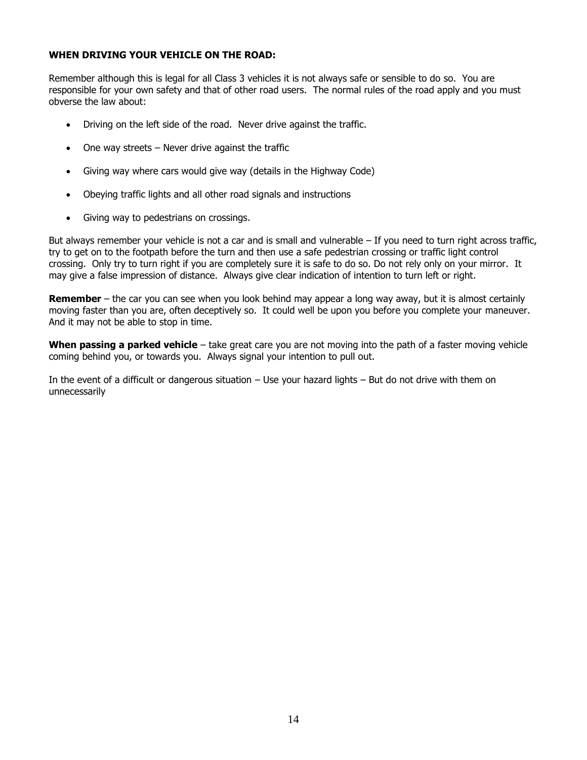## **WHEN DRIVING YOUR VEHICLE ON THE ROAD:**

Remember although this is legal for all Class 3 vehicles it is not always safe or sensible to do so. You are responsible for your own safety and that of other road users. The normal rules of the road apply and you must obverse the law about:

- Driving on the left side of the road. Never drive against the traffic.
- One way streets Never drive against the traffic
- Giving way where cars would give way (details in the Highway Code)
- Obeying traffic lights and all other road signals and instructions
- Giving way to pedestrians on crossings.

But always remember your vehicle is not a car and is small and vulnerable – If you need to turn right across traffic, try to get on to the footpath before the turn and then use a safe pedestrian crossing or traffic light control crossing. Only try to turn right if you are completely sure it is safe to do so. Do not rely only on your mirror. It may give a false impression of distance. Always give clear indication of intention to turn left or right.

**Remember** – the car you can see when you look behind may appear a long way away, but it is almost certainly moving faster than you are, often deceptively so. It could well be upon you before you complete your maneuver. And it may not be able to stop in time.

**When passing a parked vehicle** – take great care you are not moving into the path of a faster moving vehicle coming behind you, or towards you. Always signal your intention to pull out.

In the event of a difficult or dangerous situation – Use your hazard lights – But do not drive with them on unnecessarily